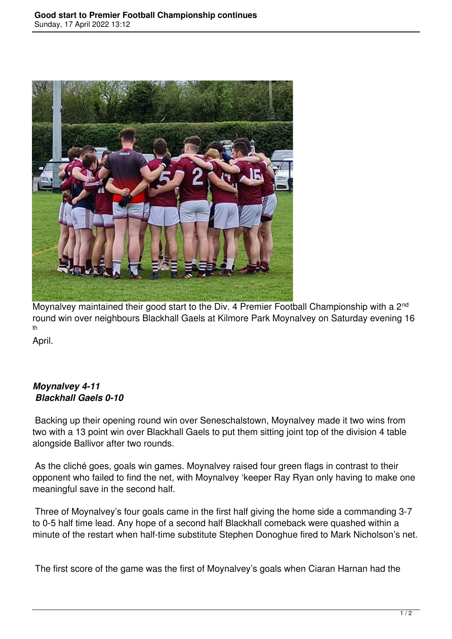

Moynalvey maintained their good start to the Div. 4 Premier Football Championship with a 2<sup>nd</sup> round win over neighbours Blackhall Gaels at Kilmore Park Moynalvey on Saturday evening 16 th

April.

## *Moynalvey 4-11 Blackhall Gaels 0-10*

 Backing up their opening round win over Seneschalstown, Moynalvey made it two wins from two with a 13 point win over Blackhall Gaels to put them sitting joint top of the division 4 table alongside Ballivor after two rounds.

 As the cliché goes, goals win games. Moynalvey raised four green flags in contrast to their opponent who failed to find the net, with Moynalvey 'keeper Ray Ryan only having to make one meaningful save in the second half.

 Three of Moynalvey's four goals came in the first half giving the home side a commanding 3-7 to 0-5 half time lead. Any hope of a second half Blackhall comeback were quashed within a minute of the restart when half-time substitute Stephen Donoghue fired to Mark Nicholson's net.

The first score of the game was the first of Moynalvey's goals when Ciaran Harnan had the